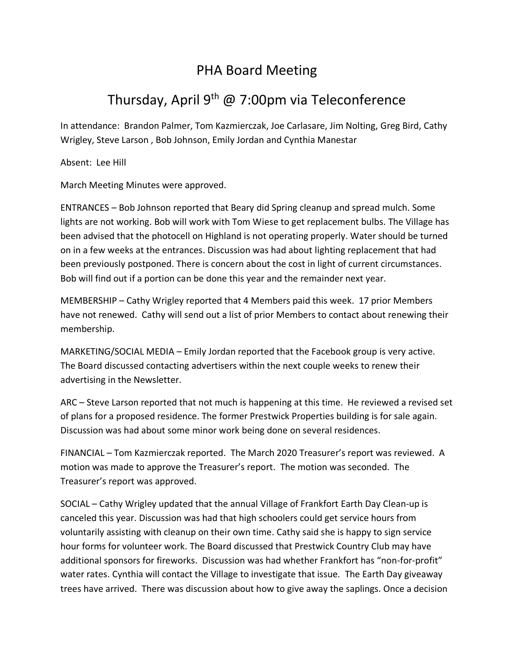## PHA Board Meeting

## Thursday, April 9<sup>th</sup> @ 7:00pm via Teleconference

In attendance: Brandon Palmer, Tom Kazmierczak, Joe Carlasare, Jim Nolting, Greg Bird, Cathy Wrigley, Steve Larson , Bob Johnson, Emily Jordan and Cynthia Manestar

Absent: Lee Hill

March Meeting Minutes were approved.

ENTRANCES – Bob Johnson reported that Beary did Spring cleanup and spread mulch. Some lights are not working. Bob will work with Tom Wiese to get replacement bulbs. The Village has been advised that the photocell on Highland is not operating properly. Water should be turned on in a few weeks at the entrances. Discussion was had about lighting replacement that had been previously postponed. There is concern about the cost in light of current circumstances. Bob will find out if a portion can be done this year and the remainder next year.

MEMBERSHIP – Cathy Wrigley reported that 4 Members paid this week. 17 prior Members have not renewed. Cathy will send out a list of prior Members to contact about renewing their membership.

MARKETING/SOCIAL MEDIA – Emily Jordan reported that the Facebook group is very active. The Board discussed contacting advertisers within the next couple weeks to renew their advertising in the Newsletter.

ARC – Steve Larson reported that not much is happening at this time. He reviewed a revised set of plans for a proposed residence. The former Prestwick Properties building is for sale again. Discussion was had about some minor work being done on several residences.

FINANCIAL – Tom Kazmierczak reported. The March 2020 Treasurer's report was reviewed. A motion was made to approve the Treasurer's report. The motion was seconded. The Treasurer's report was approved.

SOCIAL – Cathy Wrigley updated that the annual Village of Frankfort Earth Day Clean-up is canceled this year. Discussion was had that high schoolers could get service hours from voluntarily assisting with cleanup on their own time. Cathy said she is happy to sign service hour forms for volunteer work. The Board discussed that Prestwick Country Club may have additional sponsors for fireworks. Discussion was had whether Frankfort has "non-for-profit" water rates. Cynthia will contact the Village to investigate that issue. The Earth Day giveaway trees have arrived. There was discussion about how to give away the saplings. Once a decision